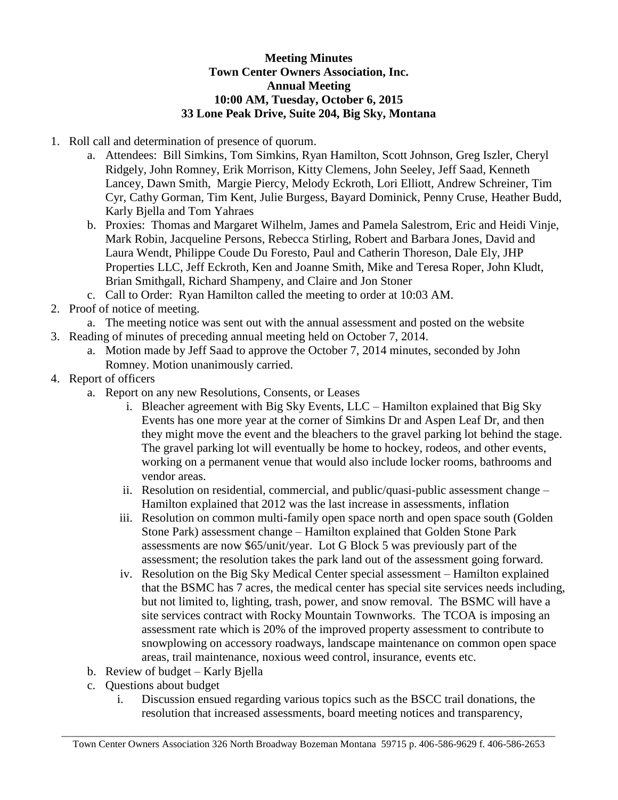## **Meeting Minutes Town Center Owners Association, Inc. Annual Meeting 10:00 AM, Tuesday, October 6, 2015 33 Lone Peak Drive, Suite 204, Big Sky, Montana**

- 1. Roll call and determination of presence of quorum.
	- a. Attendees: Bill Simkins, Tom Simkins, Ryan Hamilton, Scott Johnson, Greg Iszler, Cheryl Ridgely, John Romney, Erik Morrison, Kitty Clemens, John Seeley, Jeff Saad, Kenneth Lancey, Dawn Smith, Margie Piercy, Melody Eckroth, Lori Elliott, Andrew Schreiner, Tim Cyr, Cathy Gorman, Tim Kent, Julie Burgess, Bayard Dominick, Penny Cruse, Heather Budd, Karly Bjella and Tom Yahraes
	- b. Proxies: Thomas and Margaret Wilhelm, James and Pamela Salestrom, Eric and Heidi Vinje, Mark Robin, Jacqueline Persons, Rebecca Stirling, Robert and Barbara Jones, David and Laura Wendt, Philippe Coude Du Foresto, Paul and Catherin Thoreson, Dale Ely, JHP Properties LLC, Jeff Eckroth, Ken and Joanne Smith, Mike and Teresa Roper, John Kludt, Brian Smithgall, Richard Shampeny, and Claire and Jon Stoner
	- c. Call to Order: Ryan Hamilton called the meeting to order at 10:03 AM.
- 2. Proof of notice of meeting.
	- a. The meeting notice was sent out with the annual assessment and posted on the website
- 3. Reading of minutes of preceding annual meeting held on October 7, 2014.
	- a. Motion made by Jeff Saad to approve the October 7, 2014 minutes, seconded by John Romney. Motion unanimously carried.
- 4. Report of officers
	- a. Report on any new Resolutions, Consents, or Leases
		- i. Bleacher agreement with Big Sky Events, LLC Hamilton explained that Big Sky Events has one more year at the corner of Simkins Dr and Aspen Leaf Dr, and then they might move the event and the bleachers to the gravel parking lot behind the stage. The gravel parking lot will eventually be home to hockey, rodeos, and other events, working on a permanent venue that would also include locker rooms, bathrooms and vendor areas.
		- ii. Resolution on residential, commercial, and public/quasi-public assessment change Hamilton explained that 2012 was the last increase in assessments, inflation
		- iii. Resolution on common multi-family open space north and open space south (Golden Stone Park) assessment change – Hamilton explained that Golden Stone Park assessments are now \$65/unit/year. Lot G Block 5 was previously part of the assessment; the resolution takes the park land out of the assessment going forward.
		- iv. Resolution on the Big Sky Medical Center special assessment Hamilton explained that the BSMC has 7 acres, the medical center has special site services needs including, but not limited to, lighting, trash, power, and snow removal. The BSMC will have a site services contract with Rocky Mountain Townworks. The TCOA is imposing an assessment rate which is 20% of the improved property assessment to contribute to snowplowing on accessory roadways, landscape maintenance on common open space areas, trail maintenance, noxious weed control, insurance, events etc.
	- b. Review of budget Karly Bjella
	- c. Questions about budget
		- i. Discussion ensued regarding various topics such as the BSCC trail donations, the resolution that increased assessments, board meeting notices and transparency,

 $\_$  ,  $\_$  ,  $\_$  ,  $\_$  ,  $\_$  ,  $\_$  ,  $\_$  ,  $\_$  ,  $\_$  ,  $\_$  ,  $\_$  ,  $\_$  ,  $\_$  ,  $\_$  ,  $\_$  ,  $\_$  ,  $\_$  ,  $\_$  ,  $\_$  ,  $\_$  ,  $\_$  ,  $\_$  ,  $\_$  ,  $\_$  ,  $\_$  ,  $\_$  ,  $\_$  ,  $\_$  ,  $\_$  ,  $\_$  ,  $\_$  ,  $\_$  ,  $\_$  ,  $\_$  ,  $\_$  ,  $\_$  ,  $\_$  , Town Center Owners Association 326 North Broadway Bozeman Montana 59715 p. 406-586-9629 f. 406-586-2653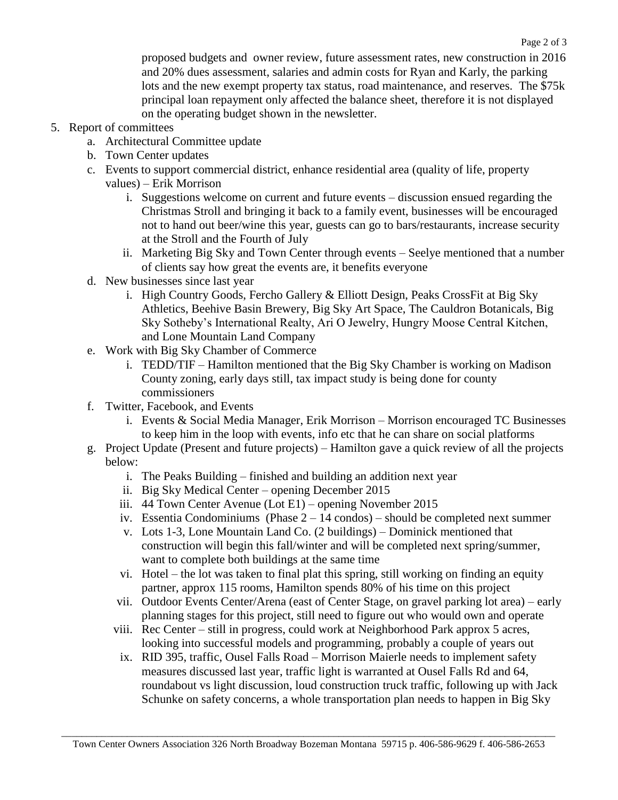proposed budgets and owner review, future assessment rates, new construction in 2016 and 20% dues assessment, salaries and admin costs for Ryan and Karly, the parking lots and the new exempt property tax status, road maintenance, and reserves. The \$75k principal loan repayment only affected the balance sheet, therefore it is not displayed on the operating budget shown in the newsletter.

## 5. Report of committees

- a. Architectural Committee update
- b. Town Center updates
- c. Events to support commercial district, enhance residential area (quality of life, property values) – Erik Morrison
	- i. Suggestions welcome on current and future events discussion ensued regarding the Christmas Stroll and bringing it back to a family event, businesses will be encouraged not to hand out beer/wine this year, guests can go to bars/restaurants, increase security at the Stroll and the Fourth of July
	- ii. Marketing Big Sky and Town Center through events Seelye mentioned that a number of clients say how great the events are, it benefits everyone
- d. New businesses since last year
	- i. High Country Goods, Fercho Gallery & Elliott Design, Peaks CrossFit at Big Sky Athletics, Beehive Basin Brewery, Big Sky Art Space, The Cauldron Botanicals, Big Sky Sotheby's International Realty, Ari O Jewelry, Hungry Moose Central Kitchen, and Lone Mountain Land Company
- e. Work with Big Sky Chamber of Commerce
	- i. TEDD/TIF Hamilton mentioned that the Big Sky Chamber is working on Madison County zoning, early days still, tax impact study is being done for county commissioners
- f. Twitter, Facebook, and Events
	- i. Events & Social Media Manager, Erik Morrison Morrison encouraged TC Businesses to keep him in the loop with events, info etc that he can share on social platforms
- g. Project Update (Present and future projects) Hamilton gave a quick review of all the projects below:
	- i. The Peaks Building finished and building an addition next year
	- ii. Big Sky Medical Center opening December 2015
	- iii. 44 Town Center Avenue (Lot E1) opening November 2015
	- iv. Essentia Condominiums (Phase 2 14 condos) should be completed next summer
	- v. Lots 1-3, Lone Mountain Land Co. (2 buildings) Dominick mentioned that construction will begin this fall/winter and will be completed next spring/summer, want to complete both buildings at the same time
	- vi. Hotel the lot was taken to final plat this spring, still working on finding an equity partner, approx 115 rooms, Hamilton spends 80% of his time on this project
	- vii. Outdoor Events Center/Arena (east of Center Stage, on gravel parking lot area) early planning stages for this project, still need to figure out who would own and operate
	- viii. Rec Center still in progress, could work at Neighborhood Park approx 5 acres, looking into successful models and programming, probably a couple of years out
		- ix. RID 395, traffic, Ousel Falls Road Morrison Maierle needs to implement safety measures discussed last year, traffic light is warranted at Ousel Falls Rd and 64, roundabout vs light discussion, loud construction truck traffic, following up with Jack Schunke on safety concerns, a whole transportation plan needs to happen in Big Sky